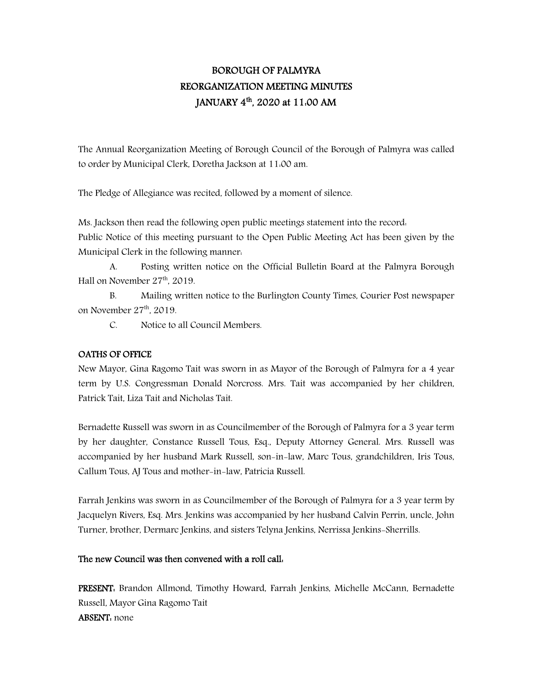# BOROUGH OF PALMYRA REORGANIZATION MEETING MINUTES JANUARY 4<sup>th</sup>, 2020 at 11:00 AM

The Annual Reorganization Meeting of Borough Council of the Borough of Palmyra was called to order by Municipal Clerk, Doretha Jackson at 11:00 am.

The Pledge of Allegiance was recited, followed by a moment of silence.

Ms. Jackson then read the following open public meetings statement into the record: Public Notice of this meeting pursuant to the Open Public Meeting Act has been given by the Municipal Clerk in the following manner:

A. Posting written notice on the Official Bulletin Board at the Palmyra Borough Hall on November 27<sup>th</sup>, 2019.

B. Mailing written notice to the Burlington County Times, Courier Post newspaper on November  $27<sup>th</sup>$ , 2019.

C. Notice to all Council Members.

#### OATHS OF OFFICE

New Mayor, Gina Ragomo Tait was sworn in as Mayor of the Borough of Palmyra for a 4 year term by U.S. Congressman Donald Norcross. Mrs. Tait was accompanied by her children, Patrick Tait, Liza Tait and Nicholas Tait.

Bernadette Russell was sworn in as Councilmember of the Borough of Palmyra for a 3 year term by her daughter, Constance Russell Tous, Esq., Deputy Attorney General. Mrs. Russell was accompanied by her husband Mark Russell, son-in-law, Marc Tous, grandchildren, Iris Tous, Callum Tous, AJ Tous and mother-in-law, Patricia Russell.

Farrah Jenkins was sworn in as Councilmember of the Borough of Palmyra for a 3 year term by Jacquelyn Rivers, Esq. Mrs. Jenkins was accompanied by her husband Calvin Perrin, uncle, John Turner, brother, Dermarc Jenkins, and sisters Telyna Jenkins, Nerrissa Jenkins-Sherrills.

#### The new Council was then convened with a roll call:

PRESENT: Brandon Allmond, Timothy Howard, Farrah Jenkins, Michelle McCann, Bernadette Russell, Mayor Gina Ragomo Tait ABSENT: none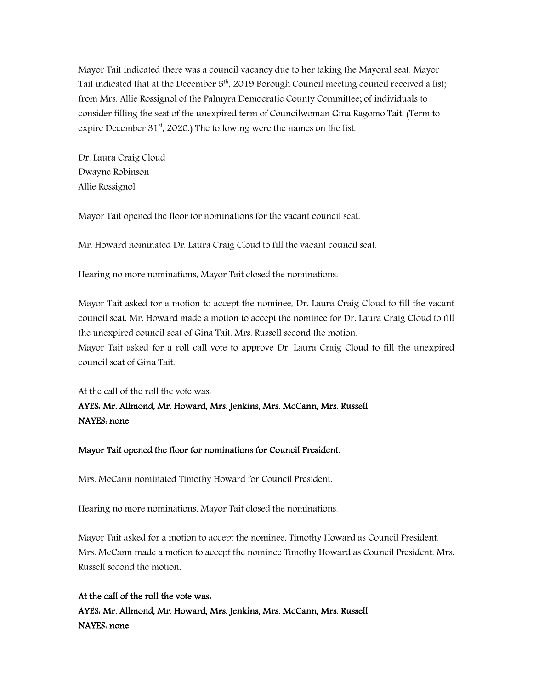Mayor Tait indicated there was a council vacancy due to her taking the Mayoral seat. Mayor Tait indicated that at the December 5<sup>th</sup>, 2019 Borough Council meeting council received a list; from Mrs. Allie Rossignol of the Palmyra Democratic County Committee; of individuals to consider filling the seat of the unexpired term of Councilwoman Gina Ragomo Tait. (Term to expire December  $31<sup>st</sup>$ , 2020.) The following were the names on the list.

Dr. Laura Craig Cloud Dwayne Robinson Allie Rossignol

Mayor Tait opened the floor for nominations for the vacant council seat.

Mr. Howard nominated Dr. Laura Craig Cloud to fill the vacant council seat.

Hearing no more nominations, Mayor Tait closed the nominations.

Mayor Tait asked for a motion to accept the nominee, Dr. Laura Craig Cloud to fill the vacant council seat. Mr. Howard made a motion to accept the nominee for Dr. Laura Craig Cloud to fill the unexpired council seat of Gina Tait. Mrs. Russell second the motion. Mayor Tait asked for a roll call vote to approve Dr. Laura Craig Cloud to fill the unexpired council seat of Gina Tait.

At the call of the roll the vote was:

# AYES: Mr. Allmond, Mr. Howard, Mrs. Jenkins, Mrs. McCann, Mrs. Russell NAYES: none

## Mayor Tait opened the floor for nominations for Council President.

Mrs. McCann nominated Timothy Howard for Council President.

Hearing no more nominations, Mayor Tait closed the nominations.

Mayor Tait asked for a motion to accept the nominee, Timothy Howard as Council President. Mrs. McCann made a motion to accept the nominee Timothy Howard as Council President. Mrs. Russell second the motion.

At the call of the roll the vote was: AYES: Mr. Allmond, Mr. Howard, Mrs. Jenkins, Mrs. McCann, Mrs. Russell NAYES: none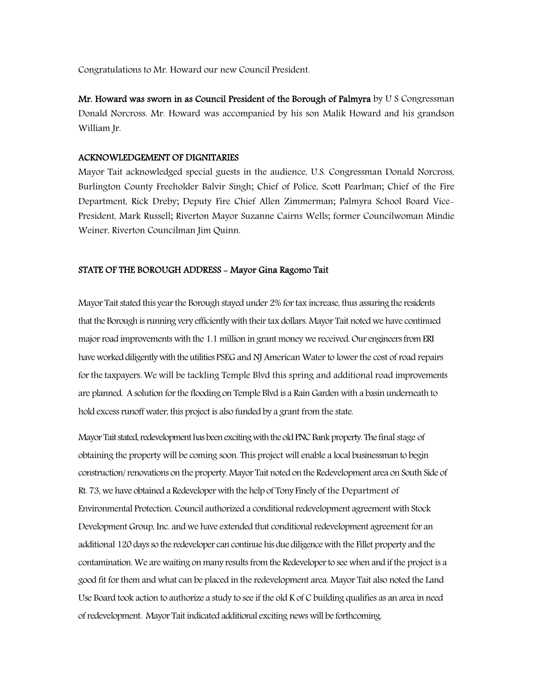Congratulations to Mr. Howard our new Council President.

Mr. Howard was sworn in as Council President of the Borough of Palmyra by U S Congressman Donald Norcross. Mr. Howard was accompanied by his son Malik Howard and his grandson William Jr.

#### ACKNOWLEDGEMENT OF DIGNITARIES

Mayor Tait acknowledged special guests in the audience, U.S. Congressman Donald Norcross, Burlington County Freeholder Balvir Singh; Chief of Police, Scott Pearlman; Chief of the Fire Department, Rick Dreby; Deputy Fire Chief Allen Zimmerman; Palmyra School Board Vice-President, Mark Russell; Riverton Mayor Suzanne Cairns Wells; former Councilwoman Mindie Weiner, Riverton Councilman Jim Quinn.

#### STATE OF THE BOROUGH ADDRESS - Mayor Gina Ragomo Tait

Mayor Tait stated this year the Borough stayed under 2% for tax increase, thus assuring the residents that the Borough is running very efficiently with their tax dollars. Mayor Tait noted we have continued major road improvements with the 1.1 million in grant money we received. Our engineers from ERI have worked diligently with the utilities PSEG and NJ American Water to lower the cost of road repairs for the taxpayers. We will be tackling Temple Blvd this spring and additional road improvements are planned. A solution for the flooding on Temple Blvd is a Rain Garden with a basin underneath to hold excess runoff water, this project is also funded by a grant from the state.

Mayor Tait stated, redevelopment has been excitingwith the old PNC Bank property. The final stage of obtaining the property will be coming soon. This project will enable a local businessman to begin construction/ renovations on the property. Mayor Tait noted on the Redevelopment area on South Side of Rt. 73, we have obtained a Redeveloper with the help of Tony Finely of the Department of Environmental Protection. Council authorized a conditional redevelopment agreement with Stock Development Group, Inc. and we have extended that conditional redevelopment agreement for an additional 120 days so the redeveloper can continue his due diligencewith the Fillet property and the contamination. We are waiting on many results from the Redeveloper to see when and if the project is a good fit for them and what can be placed in the redevelopment area. Mayor Tait also noted the Land Use Board took action to authorize a study to see if the old K of C building qualifies as an area in need of redevelopment. Mayor Tait indicated additional exciting news will be forthcoming.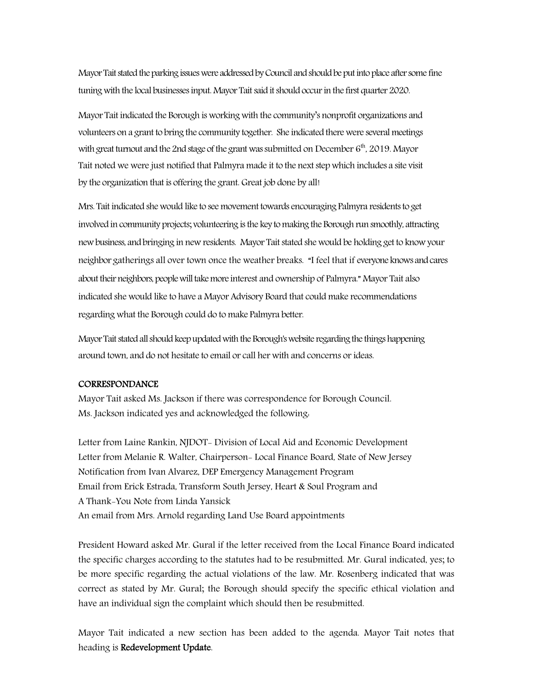Mayor Tait stated the parking issues were addressed by Council and should be put into place after some fine tuning with the local businesses input. Mayor Tait said it should occur in the first quarter 2020.

Mayor Tait indicated the Borough is working with the community's nonprofit organizations and volunteers on a grant to bring the community together. She indicated there were several meetings with great turnout and the 2nd stage of the grant was submitted on December  $6<sup>th</sup>$ , 2019. Mayor Tait noted we were just notified that Palmyra made it to the next step which includes a site visit by the organization that is offering the grant. Great job done by all!

Mrs. Tait indicated she would like to see movement towards encouraging Palmyra residents to get involved in community projects; volunteering is the key to making the Borough run smoothly, attracting new business, and bringing in new residents. Mayor Tait stated she would be holding get to know your neighbor gatherings all over town once the weather breaks. "I feel that if everyone knows and cares about their neighbors, people will take more interest and ownership of Palmyra." Mayor Tait also indicated she would like to have a Mayor Advisory Board that could make recommendations regarding what the Borough could do to make Palmyra better.

Mayor Tait stated all should keepupdated with the Borough's website regarding the things happening around town, and do not hesitate to email or call her with and concerns or ideas.

#### **CORRESPONDANCE**

Mayor Tait asked Ms. Jackson if there was correspondence for Borough Council. Ms. Jackson indicated yes and acknowledged the following:

Letter from Laine Rankin, NJDOT- Division of Local Aid and Economic Development Letter from Melanie R. Walter, Chairperson- Local Finance Board, State of New Jersey Notification from Ivan Alvarez, DEP Emergency Management Program Email from Erick Estrada, Transform South Jersey, Heart & Soul Program and A Thank-You Note from Linda Yansick An email from Mrs. Arnold regarding Land Use Board appointments

President Howard asked Mr. Gural if the letter received from the Local Finance Board indicated the specific charges according to the statutes had to be resubmitted. Mr. Gural indicated, yes; to be more specific regarding the actual violations of the law. Mr. Rosenberg indicated that was correct as stated by Mr. Gural; the Borough should specify the specific ethical violation and have an individual sign the complaint which should then be resubmitted.

Mayor Tait indicated a new section has been added to the agenda. Mayor Tait notes that heading is Redevelopment Update.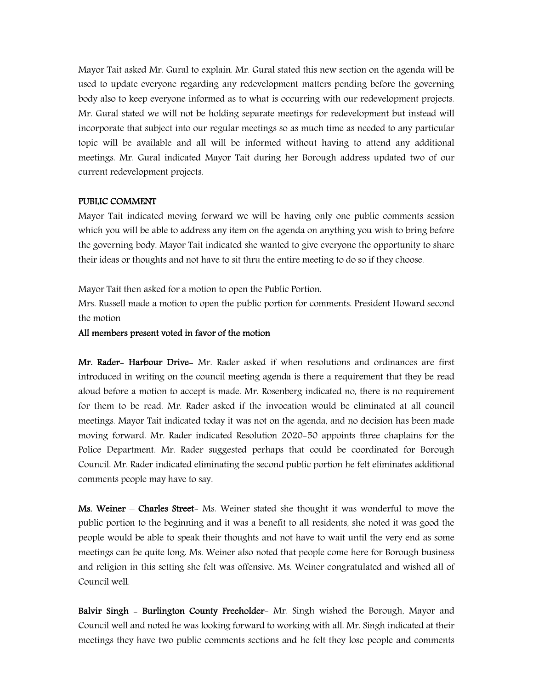Mayor Tait asked Mr. Gural to explain. Mr. Gural stated this new section on the agenda will be used to update everyone regarding any redevelopment matters pending before the governing body also to keep everyone informed as to what is occurring with our redevelopment projects. Mr. Gural stated we will not be holding separate meetings for redevelopment but instead will incorporate that subject into our regular meetings so as much time as needed to any particular topic will be available and all will be informed without having to attend any additional meetings. Mr. Gural indicated Mayor Tait during her Borough address updated two of our current redevelopment projects.

#### PUBLIC COMMENT

Mayor Tait indicated moving forward we will be having only one public comments session which you will be able to address any item on the agenda on anything you wish to bring before the governing body. Mayor Tait indicated she wanted to give everyone the opportunity to share their ideas or thoughts and not have to sit thru the entire meeting to do so if they choose.

Mayor Tait then asked for a motion to open the Public Portion.

Mrs. Russell made a motion to open the public portion for comments. President Howard second the motion

All members present voted in favor of the motion

Mr. Rader- Harbour Drive- Mr. Rader asked if when resolutions and ordinances are first introduced in writing on the council meeting agenda is there a requirement that they be read aloud before a motion to accept is made. Mr. Rosenberg indicated no, there is no requirement for them to be read. Mr. Rader asked if the invocation would be eliminated at all council meetings. Mayor Tait indicated today it was not on the agenda, and no decision has been made moving forward. Mr. Rader indicated Resolution 2020-50 appoints three chaplains for the Police Department. Mr. Rader suggested perhaps that could be coordinated for Borough Council. Mr. Rader indicated eliminating the second public portion he felt eliminates additional comments people may have to say.

Ms. Weiner – Charles Street- Ms. Weiner stated she thought it was wonderful to move the public portion to the beginning and it was a benefit to all residents, she noted it was good the people would be able to speak their thoughts and not have to wait until the very end as some meetings can be quite long. Ms. Weiner also noted that people come here for Borough business and religion in this setting she felt was offensive. Ms. Weiner congratulated and wished all of Council well.

Balvir Singh - Burlington County Freeholder- Mr. Singh wished the Borough, Mayor and Council well and noted he was looking forward to working with all. Mr. Singh indicated at their meetings they have two public comments sections and he felt they lose people and comments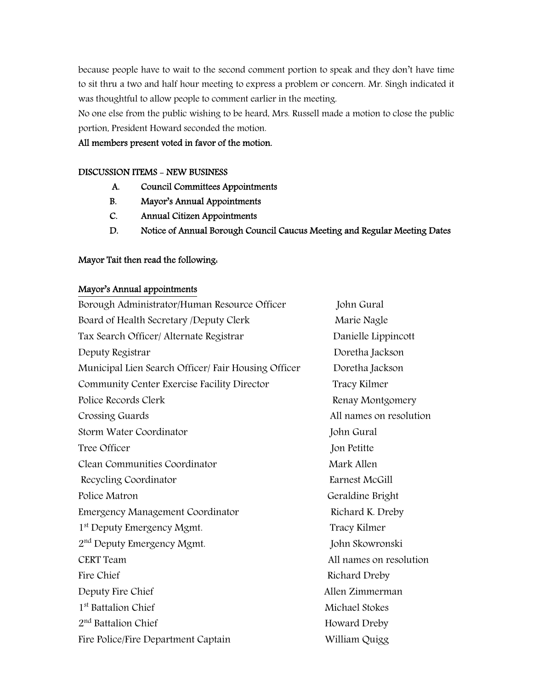because people have to wait to the second comment portion to speak and they don't have time to sit thru a two and half hour meeting to express a problem or concern. Mr. Singh indicated it was thoughtful to allow people to comment earlier in the meeting.

No one else from the public wishing to be heard, Mrs. Russell made a motion to close the public portion, President Howard seconded the motion.

All members present voted in favor of the motion.

#### DISCUSSION ITEMS - NEW BUSINESS

- A. Council Committees Appointments
- B. Mayor's Annual Appointments
- C. Annual Citizen Appointments
- D. Notice of Annual Borough Council Caucus Meeting and Regular Meeting Dates

#### Mayor Tait then read the following:

#### Mayor's Annual appointments

| Borough Administrator/Human Resource Officer        | John Gural              |
|-----------------------------------------------------|-------------------------|
| Board of Health Secretary /Deputy Clerk             | Marie Nagle             |
| Tax Search Officer/ Alternate Registrar             | Danielle Lippincott     |
| Deputy Registrar                                    | Doretha Jackson         |
| Municipal Lien Search Officer/ Fair Housing Officer | Doretha Jackson         |
| Community Center Exercise Facility Director         | Tracy Kilmer            |
| Police Records Clerk                                | Renay Montgomery        |
| Crossing Guards                                     | All names on resolution |
| Storm Water Coordinator                             | John Gural              |
| Tree Officer                                        | Jon Petitte             |
| Clean Communities Coordinator                       | Mark Allen              |
| Recycling Coordinator                               | Earnest McGill          |
| Police Matron                                       | Geraldine Bright        |
| Emergency Management Coordinator                    | Richard K. Dreby        |
| 1 <sup>st</sup> Deputy Emergency Mgmt.              | Tracy Kilmer            |
| 2 <sup>nd</sup> Deputy Emergency Mgmt.              | John Skowronski         |
| <b>CERT</b> Team                                    | All names on resolution |
| Fire Chief                                          | Richard Dreby           |
| Deputy Fire Chief                                   | Allen Zimmerman         |
| 1 <sup>st</sup> Battalion Chief                     | Michael Stokes          |
| 2 <sup>nd</sup> Battalion Chief                     | Howard Dreby            |
| Fire Police/Fire Department Captain                 | William Quigg           |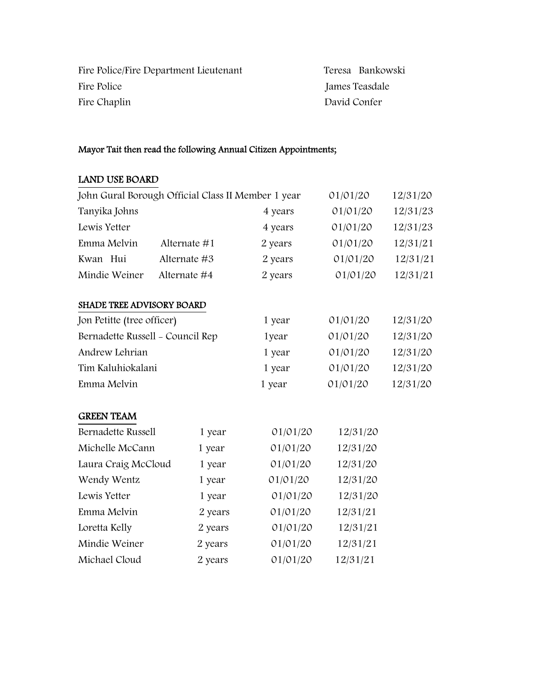| Fire Police/Fire Department Lieutenant | Teresa Bankowski |  |
|----------------------------------------|------------------|--|
| Fire Police                            | James Teasdale   |  |
| Fire Chaplin                           | David Confer     |  |

# Mayor Tait then read the following Annual Citizen Appointments;

# LAND USE BOARD

| John Gural Borough Official Class II Member 1 year |              |          | 01/01/20 | 12/31/20 |
|----------------------------------------------------|--------------|----------|----------|----------|
| Tanyika Johns                                      |              | 4 years  | 01/01/20 | 12/31/23 |
| Lewis Yetter                                       |              | 4 years  | 01/01/20 | 12/31/23 |
| Emma Melvin                                        | Alternate #1 | 2 years  | 01/01/20 | 12/31/21 |
| Kwan Hui                                           | Alternate #3 | 2 years  | 01/01/20 | 12/31/21 |
| Mindie Weiner                                      | Alternate #4 | 2 years  | 01/01/20 | 12/31/21 |
| <b>SHADE TREE ADVISORY BOARD</b>                   |              |          |          |          |
| Jon Petitte (tree officer)                         |              | 1 year   | 01/01/20 | 12/31/20 |
| Bernadette Russell - Council Rep                   |              | 1year    | 01/01/20 | 12/31/20 |
| Andrew Lehrian                                     |              | 1 year   | 01/01/20 | 12/31/20 |
| Tim Kaluhiokalani                                  |              | 1 year   | 01/01/20 | 12/31/20 |
| Emma Melvin                                        |              | 1 year   | 01/01/20 | 12/31/20 |
| <b>GREEN TEAM</b>                                  |              |          |          |          |
| Bernadette Russell                                 | 1 year       | 01/01/20 | 12/31/20 |          |
| Michelle McCann                                    | 1 year       | 01/01/20 | 12/31/20 |          |
| Laura Craig McCloud                                | 1 year       | 01/01/20 | 12/31/20 |          |
| Wendy Wentz                                        | 1 year       | 01/01/20 | 12/31/20 |          |
| Lewis Yetter                                       | 1 year       | 01/01/20 | 12/31/20 |          |
| Emma Melvin                                        | 2 years      | 01/01/20 | 12/31/21 |          |
| Loretta Kelly                                      | 2 years      | 01/01/20 | 12/31/21 |          |
| Mindie Weiner                                      | 2 years      | 01/01/20 | 12/31/21 |          |
| Michael Cloud                                      | 2 years      | 01/01/20 | 12/31/21 |          |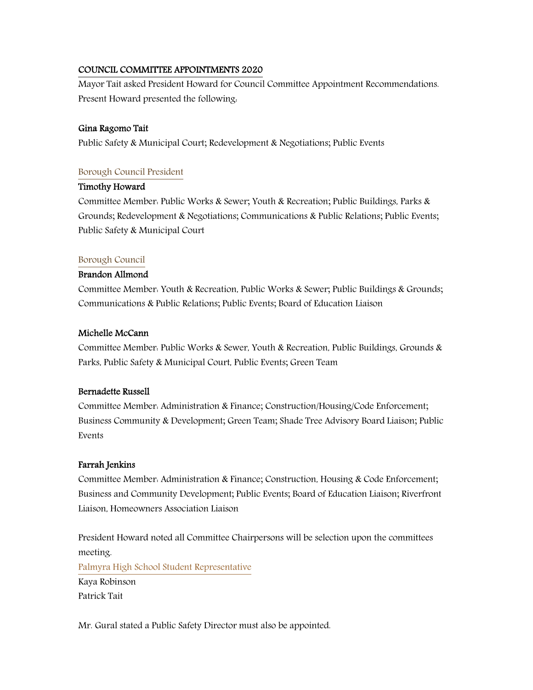## COUNCIL COMMITTEE APPOINTMENTS 2020

Mayor Tait asked President Howard for Council Committee Appointment Recommendations. Present Howard presented the following:

## Gina Ragomo Tait

Public Safety & Municipal Court; Redevelopment & Negotiations; Public Events

## Borough Council President

#### Timothy Howard

Committee Member: Public Works & Sewer; Youth & Recreation; Public Buildings, Parks & Grounds; Redevelopment & Negotiations; Communications & Public Relations; Public Events; Public Safety & Municipal Court

## Borough Council

## Brandon Allmond

Committee Member: Youth & Recreation, Public Works & Sewer; Public Buildings & Grounds; Communications & Public Relations; Public Events; Board of Education Liaison

#### Michelle McCann

Committee Member: Public Works & Sewer, Youth & Recreation, Public Buildings, Grounds & Parks, Public Safety & Municipal Court, Public Events; Green Team

#### Bernadette Russell

Committee Member: Administration & Finance; Construction/Housing/Code Enforcement; Business Community & Development; Green Team; Shade Tree Advisory Board Liaison; Public Events

## Farrah Jenkins

Committee Member: Administration & Finance; Construction, Housing & Code Enforcement; Business and Community Development; Public Events; Board of Education Liaison; Riverfront Liaison, Homeowners Association Liaison

President Howard noted all Committee Chairpersons will be selection upon the committees meeting. Palmyra High School Student Representative Kaya Robinson Patrick Tait

Mr. Gural stated a Public Safety Director must also be appointed.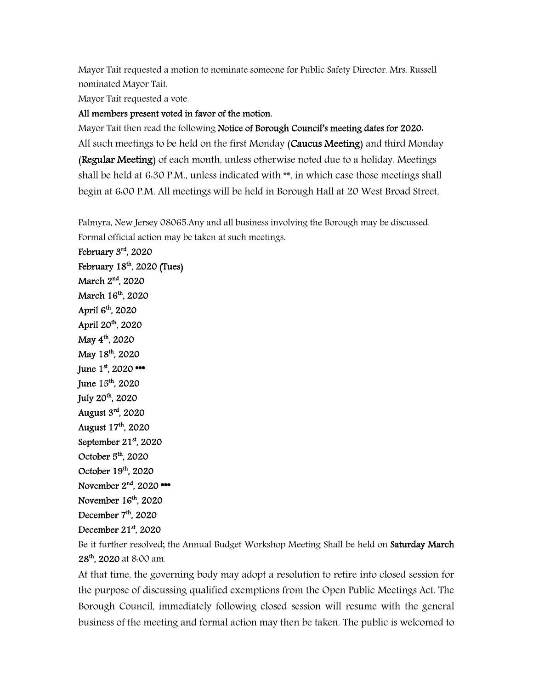Mayor Tait requested a motion to nominate someone for Public Safety Director. Mrs. Russell nominated Mayor Tait.

Mayor Tait requested a vote.

#### All members present voted in favor of the motion.

Mayor Tait then read the following Notice of Borough Council's meeting dates for 2020. All such meetings to be held on the first Monday (Caucus Meeting) and third Monday (Regular Meeting) of each month, unless otherwise noted due to a holiday. Meetings shall be held at 6:30 P.M., unless indicated with \*\*, in which case those meetings shall begin at 6:00 P.M. All meetings will be held in Borough Hall at 20 West Broad Street,

Palmyra, New Jersey 08065.Any and all business involving the Borough may be discussed. Formal official action may be taken at such meetings.

February 3rd, 2020 February  $18<sup>th</sup>$ , 2020 (Tues) March 2<sup>nd</sup>, 2020 March 16<sup>th</sup>, 2020 April 6<sup>th</sup>, 2020 April 20th, 2020 May 4<sup>th</sup>, 2020 May 18<sup>th</sup>, 2020 June  $1^{st}$ , 2020  $\bullet\bullet\bullet$ June 15th, 2020 July 20th, 2020 August 3rd, 2020 August 17th, 2020 September  $21<sup>st</sup>$ , 2020 October  $5<sup>th</sup>$ , 2020 October 19<sup>th</sup>, 2020 November  $2<sup>nd</sup>$ , 2020 \*\*\* November 16<sup>th</sup>, 2020 December  $7<sup>th</sup>$ , 2020 December 21<sup>st</sup>, 2020

Be it further resolved; the Annual Budget Workshop Meeting Shall be held on Saturday March 28<sup>th</sup>, 2020 at 8:00 am.

At that time, the governing body may adopt a resolution to retire into closed session for the purpose of discussing qualified exemptions from the Open Public Meetings Act. The Borough Council, immediately following closed session will resume with the general business of the meeting and formal action may then be taken. The public is welcomed to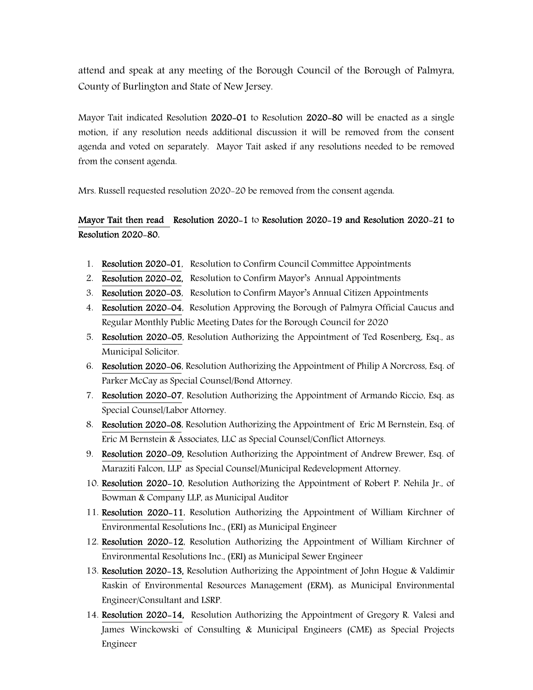attend and speak at any meeting of the Borough Council of the Borough of Palmyra, County of Burlington and State of New Jersey.

Mayor Tait indicated Resolution 2020-01 to Resolution 2020-80 will be enacted as a single motion, if any resolution needs additional discussion it will be removed from the consent agenda and voted on separately. Mayor Tait asked if any resolutions needed to be removed from the consent agenda.

Mrs. Russell requested resolution 2020-20 be removed from the consent agenda.

## Mayor Tait then read Resolution 2020-1 to Resolution 2020-19 and Resolution 2020-21 to Resolution 2020-80.

- 1. Resolution 2020-01, Resolution to Confirm Council Committee Appointments
- 2. Resolution 2020-02, Resolution to Confirm Mayor's Annual Appointments
- 3. Resolution 2020-03, Resolution to Confirm Mayor's Annual Citizen Appointments
- 4. Resolution 2020-04, Resolution Approving the Borough of Palmyra Official Caucus and Regular Monthly Public Meeting Dates for the Borough Council for 2020
- 5. Resolution 2020-05, Resolution Authorizing the Appointment of Ted Rosenberg, Esq., as Municipal Solicitor.
- 6. Resolution 2020-06, Resolution Authorizing the Appointment of Philip A Norcross, Esq. of Parker McCay as Special Counsel/Bond Attorney.
- 7. Resolution 2020-07, Resolution Authorizing the Appointment of Armando Riccio, Esq. as Special Counsel/Labor Attorney.
- 8. Resolution 2020-08, Resolution Authorizing the Appointment of Eric M Bernstein, Esq. of Eric M Bernstein & Associates, LLC as Special Counsel/Conflict Attorneys.
- 9. Resolution 2020-09, Resolution Authorizing the Appointment of Andrew Brewer, Esq. of Maraziti Falcon, LLP as Special Counsel/Municipal Redevelopment Attorney.
- 10. Resolution 2020-10, Resolution Authorizing the Appointment of Robert P. Nehila Jr., of Bowman & Company LLP, as Municipal Auditor
- 11. Resolution 2020-11, Resolution Authorizing the Appointment of William Kirchner of Environmental Resolutions Inc., (ERI) as Municipal Engineer
- 12. Resolution 2020-12, Resolution Authorizing the Appointment of William Kirchner of Environmental Resolutions Inc., (ERI) as Municipal Sewer Engineer
- 13. Resolution 2020-13, Resolution Authorizing the Appointment of John Hogue & Valdimir Raskin of Environmental Resources Management (ERM), as Municipal Environmental Engineer/Consultant and LSRP.
- 14. Resolution 2020-14, Resolution Authorizing the Appointment of Gregory R. Valesi and James Winckowski of Consulting & Municipal Engineers (CME) as Special Projects Engineer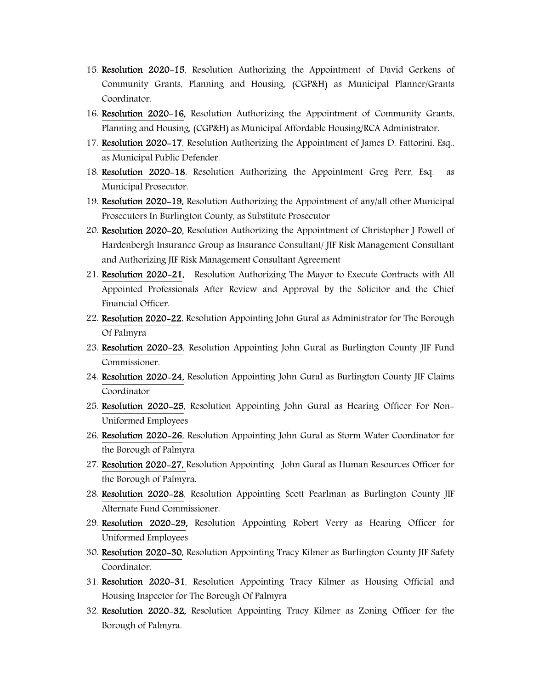- 15. Resolution 2020-15, Resolution Authorizing the Appointment of David Gerkens of Community Grants, Planning and Housing, (CGP&H) as Municipal Planner/Grants Coordinator.
- 16. Resolution 2020-16, Resolution Authorizing the Appointment of Community Grants, Planning and Housing, (CGP&H) as Municipal Affordable Housing/RCA Administrator.
- 17. Resolution 2020-17, Resolution Authorizing the Appointment of James D. Fattorini, Esq., as Municipal Public Defender.
- 18. Resolution 2020-18, Resolution Authorizing the Appointment Greg Perr, Esq. as Municipal Prosecutor.
- 19. Resolution 2020-19, Resolution Authorizing the Appointment of any/all other Municipal Prosecutors In Burlington County, as Substitute Prosecutor
- 20. Resolution 2020-20, Resolution Authorizing the Appointment of Christopher J Powell of Hardenbergh Insurance Group as Insurance Consultant/ JIF Risk Management Consultant and Authorizing JIF Risk Management Consultant Agreement
- 21. Resolution 2020-21, Resolution Authorizing The Mayor to Execute Contracts with All Appointed Professionals After Review and Approval by the Solicitor and the Chief Financial Officer.
- 22. Resolution 2020-22, Resolution Appointing John Gural as Administrator for The Borough Of Palmyra
- 23. Resolution 2020-23, Resolution Appointing John Gural as Burlington County JIF Fund Commissioner.
- 24. Resolution 2020-24, Resolution Appointing John Gural as Burlington County JIF Claims Coordinator
- 25. Resolution 2020-25, Resolution Appointing John Gural as Hearing Officer For Non-Uniformed Employees
- 26. Resolution 2020-26, Resolution Appointing John Gural as Storm Water Coordinator for the Borough of Palmyra
- 27. Resolution 2020-27, Resolution Appointing John Gural as Human Resources Officer for the Borough of Palmyra.
- 28. Resolution 2020-28, Resolution Appointing Scott Pearlman as Burlington County JIF Alternate Fund Commissioner.
- 29. Resolution 2020-29, Resolution Appointing Robert Verry as Hearing Officer for Uniformed Employees
- 30. Resolution 2020-30, Resolution Appointing Tracy Kilmer as Burlington County JIF Safety Coordinator.
- 31. Resolution 2020-31, Resolution Appointing Tracy Kilmer as Housing Official and Housing Inspector for The Borough Of Palmyra
- 32. Resolution 2020-32, Resolution Appointing Tracy Kilmer as Zoning Officer for the Borough of Palmyra.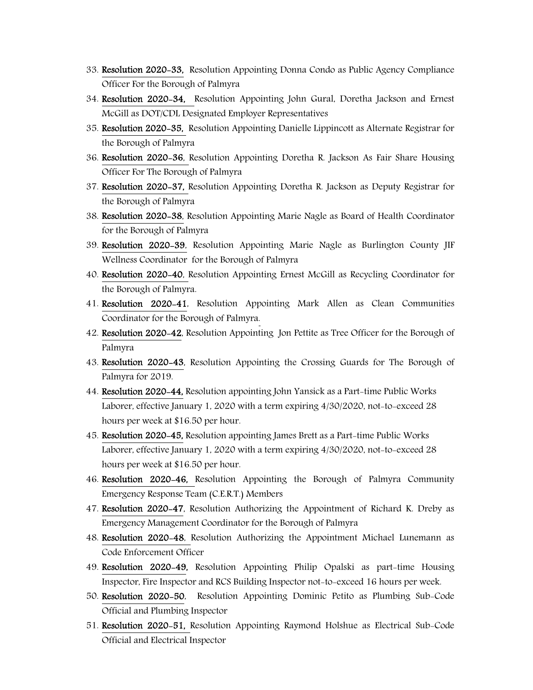- 33. Resolution 2020-33, Resolution Appointing Donna Condo as Public Agency Compliance Officer For the Borough of Palmyra
- 34. Resolution 2020-34, Resolution Appointing John Gural, Doretha Jackson and Ernest McGill as DOT/CDL Designated Employer Representatives
- 35. Resolution 2020-35, Resolution Appointing Danielle Lippincott as Alternate Registrar for the Borough of Palmyra
- 36. Resolution 2020-36, Resolution Appointing Doretha R. Jackson As Fair Share Housing Officer For The Borough of Palmyra
- 37. Resolution 2020-37, Resolution Appointing Doretha R. Jackson as Deputy Registrar for the Borough of Palmyra
- 38. Resolution 2020-38, Resolution Appointing Marie Nagle as Board of Health Coordinator for the Borough of Palmyra
- 39. Resolution 2020-39, Resolution Appointing Marie Nagle as Burlington County JIF Wellness Coordinator for the Borough of Palmyra
- 40. Resolution 2020-40, Resolution Appointing Ernest McGill as Recycling Coordinator for the Borough of Palmyra.
- 41. Resolution 2020-41, Resolution Appointing Mark Allen as Clean Communities Coordinator for the Borough of Palmyra.
- 42. Resolution 2020-42, Resolution Appointing Jon Pettite as Tree Officer for the Borough of Palmyra
- 43. Resolution 2020-43, Resolution Appointing the Crossing Guards for The Borough of Palmyra for 2019.
- 44. Resolution 2020-44, Resolution appointing John Yansick as a Part-time Public Works Laborer, effective January 1, 2020 with a term expiring 4/30/2020, not-to-exceed 28 hours per week at \$16.50 per hour.
- 45. Resolution 2020-45, Resolution appointing James Brett as a Part-time Public Works Laborer, effective January 1, 2020 with a term expiring 4/30/2020, not-to-exceed 28 hours per week at \$16.50 per hour.
- 46. Resolution 2020-46, Resolution Appointing the Borough of Palmyra Community Emergency Response Team (C.E.R.T.) Members
- 47. Resolution 2020-47, Resolution Authorizing the Appointment of Richard K. Dreby as Emergency Management Coordinator for the Borough of Palmyra
- 48. Resolution 2020-48, Resolution Authorizing the Appointment Michael Lunemann as Code Enforcement Officer
- 49. Resolution 2020-49, Resolution Appointing Philip Opalski as part-time Housing Inspector, Fire Inspector and RCS Building Inspector not-to-exceed 16 hours per week.
- 50. Resolution 2020-50, Resolution Appointing Dominic Petito as Plumbing Sub-Code Official and Plumbing Inspector
- 51. Resolution 2020-51, Resolution Appointing Raymond Holshue as Electrical Sub-Code Official and Electrical Inspector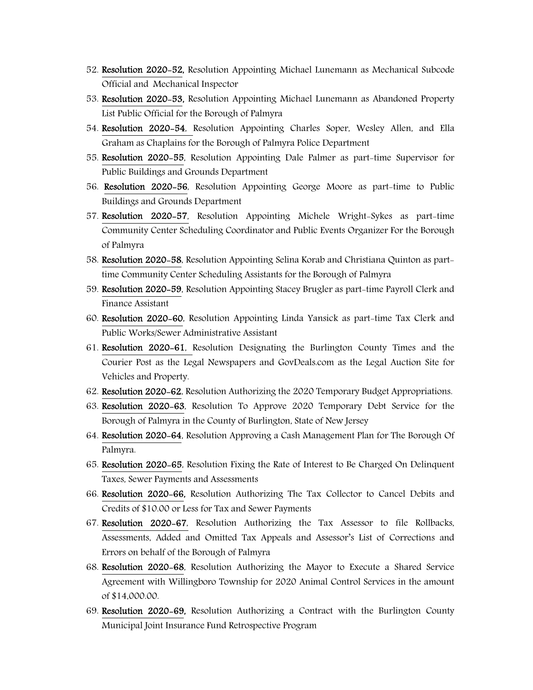- 52. Resolution 2020-52, Resolution Appointing Michael Lunemann as Mechanical Subcode Official and Mechanical Inspector
- 53. Resolution 2020-53, Resolution Appointing Michael Lunemann as Abandoned Property List Public Official for the Borough of Palmyra
- 54. Resolution 2020-54, Resolution Appointing Charles Soper, Wesley Allen, and Ella Graham as Chaplains for the Borough of Palmyra Police Department
- 55. Resolution 2020-55, Resolution Appointing Dale Palmer as part-time Supervisor for Public Buildings and Grounds Department
- 56. Resolution 2020-56, Resolution Appointing George Moore as part-time to Public Buildings and Grounds Department
- 57. Resolution 2020-57, Resolution Appointing Michele Wright-Sykes as part-time Community Center Scheduling Coordinator and Public Events Organizer For the Borough of Palmyra
- 58. Resolution 2020-58, Resolution Appointing Selina Korab and Christiana Quinton as parttime Community Center Scheduling Assistants for the Borough of Palmyra
- 59. Resolution 2020-59, Resolution Appointing Stacey Brugler as part-time Payroll Clerk and Finance Assistant
- 60. Resolution 2020-60, Resolution Appointing Linda Yansick as part-time Tax Clerk and Public Works/Sewer Administrative Assistant
- 61. Resolution 2020-61, Resolution Designating the Burlington County Times and the Courier Post as the Legal Newspapers and GovDeals.com as the Legal Auction Site for Vehicles and Property.
- 62. Resolution 2020-62, Resolution Authorizing the 2020 Temporary Budget Appropriations.
- 63. Resolution 2020-63, Resolution To Approve 2020 Temporary Debt Service for the Borough of Palmyra in the County of Burlington, State of New Jersey
- 64. Resolution 2020-64, Resolution Approving a Cash Management Plan for The Borough Of Palmyra.
- 65. Resolution 2020-65, Resolution Fixing the Rate of Interest to Be Charged On Delinquent Taxes, Sewer Payments and Assessments
- 66. Resolution 2020-66, Resolution Authorizing The Tax Collector to Cancel Debits and Credits of \$10.00 or Less for Tax and Sewer Payments
- 67. Resolution 2020-67, Resolution Authorizing the Tax Assessor to file Rollbacks, Assessments, Added and Omitted Tax Appeals and Assessor's List of Corrections and Errors on behalf of the Borough of Palmyra
- 68. Resolution 2020-68, Resolution Authorizing the Mayor to Execute a Shared Service Agreement with Willingboro Township for 2020 Animal Control Services in the amount of \$14,000.00.
- 69. Resolution 2020-69, Resolution Authorizing a Contract with the Burlington County Municipal Joint Insurance Fund Retrospective Program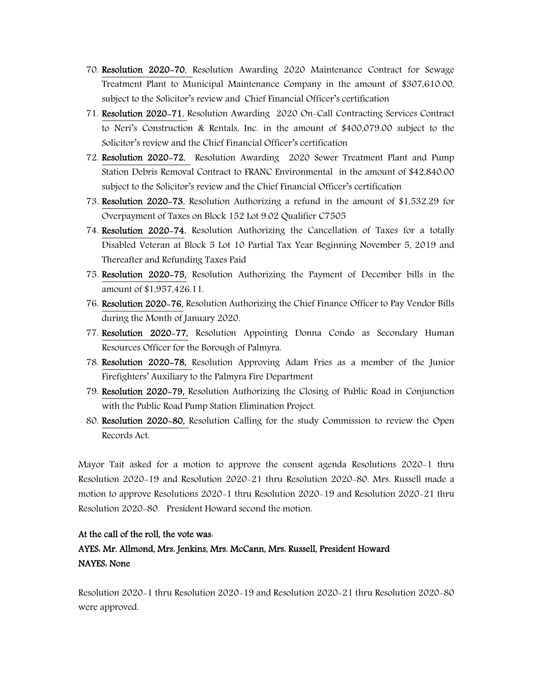- 70. Resolution 2020-70, Resolution Awarding 2020 Maintenance Contract for Sewage Treatment Plant to Municipal Maintenance Company in the amount of \$307,610.00, subject to the Solicitor's review and Chief Financial Officer's certification
- 71. Resolution 2020-71, Resolution Awarding 2020 On-Call Contracting Services Contract to Neri's Construction & Rentals, Inc. in the amount of \$400,079.00 subject to the Solicitor's review and the Chief Financial Officer's certification
- 72. Resolution 2020-72, Resolution Awarding 2020 Sewer Treatment Plant and Pump Station Debris Removal Contract to FRANC Environmental in the amount of \$42,840.00 subject to the Solicitor's review and the Chief Financial Officer's certification
- 73. Resolution 2020-73, Resolution Authorizing a refund in the amount of \$1,532.29 for Overpayment of Taxes on Block 152 Lot 9.02 Qualifier C7505
- 74. Resolution 2020-74, Resolution Authorizing the Cancellation of Taxes for a totally Disabled Veteran at Block 5 Lot 10 Partial Tax Year Beginning November 5, 2019 and Thereafter and Refunding Taxes Paid
- 75. Resolution 2020-75, Resolution Authorizing the Payment of December bills in the amount of \$1,957,426.11.
- 76. Resolution 2020-76, Resolution Authorizing the Chief Finance Officer to Pay Vendor Bills during the Month of January 2020.
- 77. Resolution 2020-77, Resolution Appointing Donna Condo as Secondary Human Resources Officer for the Borough of Palmyra.
- 78. Resolution 2020-78, Resolution Approving Adam Fries as a member of the Junior Firefighters' Auxiliary to the Palmyra Fire Department
- 79. Resolution 2020-79, Resolution Authorizing the Closing of Public Road in Conjunction with the Public Road Pump Station Elimination Project.
- 80. Resolution 2020-80, Resolution Calling for the study Commission to review the Open Records Act.

Mayor Tait asked for a motion to approve the consent agenda Resolutions 2020-1 thru Resolution 2020-19 and Resolution 2020-21 thru Resolution 2020-80. Mrs. Russell made a motion to approve Resolutions 2020-1 thru Resolution 2020-19 and Resolution 2020-21 thru Resolution 2020-80. President Howard second the motion.

## At the call of the roll, the vote was:

## AYES: Mr. Allmond, Mrs. Jenkins, Mrs. McCann, Mrs. Russell, President Howard NAYES: None

Resolution 2020-1 thru Resolution 2020-19 and Resolution 2020-21 thru Resolution 2020-80 were approved.